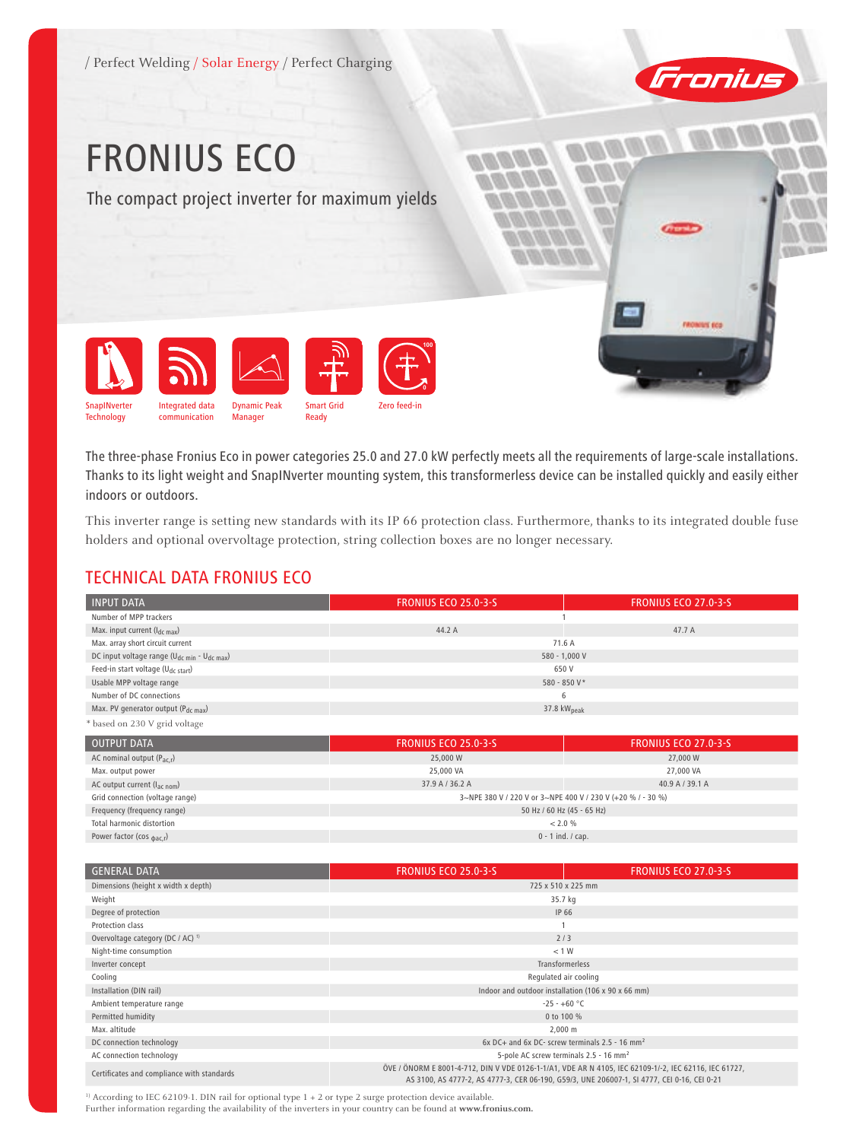

# FRONIUS Eco

The compact project inverter for maximum yields



The three-phase Fronius Eco in power categories 25.0 and 27.0 kW perfectly meets all the requirements of large-scale installations. Thanks to its light weight and SnapINverter mounting system, this transformerless device can be installed quickly and easily either indoors or outdoors.

This inverter range is setting new standards with its IP 66 protection class. Furthermore, thanks to its integrated double fuse holders and optional overvoltage protection, string collection boxes are no longer necessary.

## TECHNICAL DATA FRONIUS ECO

| <b>INPUT DATA</b>                                                   | <b>FRONIUS ECO 25.0-3-S</b> | <b>FRONIUS ECO 27.0-3-5</b> |
|---------------------------------------------------------------------|-----------------------------|-----------------------------|
| Number of MPP trackers                                              |                             |                             |
| Max. input current $(l_{dc\,max})$                                  | 44.2 A                      | 47.7 A                      |
| Max. array short circuit current                                    | 71.6 A                      |                             |
| DC input voltage range (U <sub>dc min</sub> - U <sub>dc max</sub> ) | $580 - 1,000 V$             |                             |
| Feed-in start voltage (U <sub>dc start</sub> )                      | 650 V                       |                             |
| Usable MPP voltage range                                            | 580 - 850 V*                |                             |
| Number of DC connections                                            | 6                           |                             |
| Max. PV generator output ( $P_{dc \, max}$ )                        | 37.8 $kWpeak$               |                             |
| * based on 230 V grid voltage                                       |                             |                             |

| <b>OUTPUT DATA</b>                    | <b>FRONIUS ECO 25.0-3-5</b>                                 | <b>FRONIUS ECO 27.0-3-5</b> |
|---------------------------------------|-------------------------------------------------------------|-----------------------------|
| AC nominal output $(P_{ac,r})$        | 25,000 W                                                    | 27,000 W                    |
| Max. output power                     | 25,000 VA                                                   | 27,000 VA                   |
| AC output current $(l_{ac\ nom})$     | 37.9 A / 36.2 A                                             | 40.9 A / 39.1 A             |
| Grid connection (voltage range)       | 3~NPE 380 V / 220 V or 3~NPE 400 V / 230 V (+20 % / - 30 %) |                             |
| Frequency (frequency range)           | 50 Hz / 60 Hz (45 - 65 Hz)                                  |                             |
| Total harmonic distortion             | $< 2.0 \%$                                                  |                             |
| Power factor (cos $_{\text{bac,r}}$ ) | $0 - 1$ ind. / cap.                                         |                             |

| <b>GENERAL DATA</b>                          | <b>FRONIUS ECO 25.0-3-S</b>                                                                                                                                                                          | <b>FRONIUS ECO 27.0-3-5</b> |
|----------------------------------------------|------------------------------------------------------------------------------------------------------------------------------------------------------------------------------------------------------|-----------------------------|
| Dimensions (height x width x depth)          | 725 x 510 x 225 mm                                                                                                                                                                                   |                             |
| Weight                                       | 35.7 kg                                                                                                                                                                                              |                             |
| Degree of protection                         | IP 66                                                                                                                                                                                                |                             |
| Protection class                             |                                                                                                                                                                                                      |                             |
| Overvoltage category (DC / AC) <sup>1)</sup> | 2/3                                                                                                                                                                                                  |                             |
| Night-time consumption                       | < 1 W                                                                                                                                                                                                |                             |
| Inverter concept                             | <b>Transformerless</b>                                                                                                                                                                               |                             |
| Cooling                                      | Regulated air cooling                                                                                                                                                                                |                             |
| Installation (DIN rail)                      | Indoor and outdoor installation (106 x 90 x 66 mm)                                                                                                                                                   |                             |
| Ambient temperature range                    | $-25 - +60 °C$                                                                                                                                                                                       |                             |
| Permitted humidity                           | 0 to 100 %                                                                                                                                                                                           |                             |
| Max. altitude                                | $2,000 \; \text{m}$                                                                                                                                                                                  |                             |
| DC connection technology                     | $6x$ DC+ and $6x$ DC- screw terminals 2.5 - 16 mm <sup>2</sup>                                                                                                                                       |                             |
| AC connection technology                     | 5-pole AC screw terminals 2.5 - 16 mm <sup>2</sup>                                                                                                                                                   |                             |
| Certificates and compliance with standards   | ÖVE / ÖNORM E 8001-4-712, DIN V VDE 0126-1-1/A1, VDE AR N 4105, IEC 62109-1/-2, IEC 62116, IEC 61727,<br>AS 3100, AS 4777-2, AS 4777-3, CER 06-190, G59/3, UNE 206007-1, SI 4777, CEI 0-16, CEI 0-21 |                             |

<sup>1)</sup> According to IEC 62109-1. DIN rail for optional type 1 + 2 or type 2 surge protection device available.

Further information regarding the availability of the inverters in your country can be found at **www.fronius.com.**